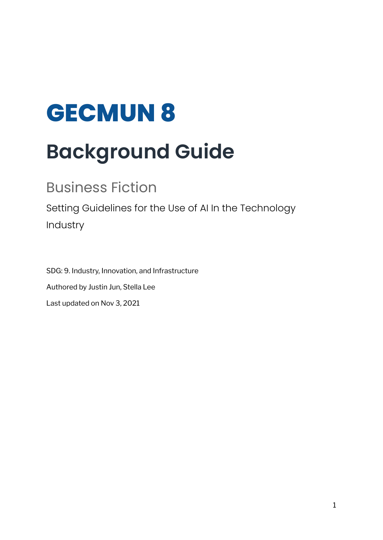# **GECMUN 8**

## **Background Guide**

### Business Fiction

Setting Guidelines for the Use of AI In the Technology Industry

SDG: 9. Industry, Innovation, and Infrastructure Authored by Justin Jun, Stella Lee Last updated on Nov 3, 2021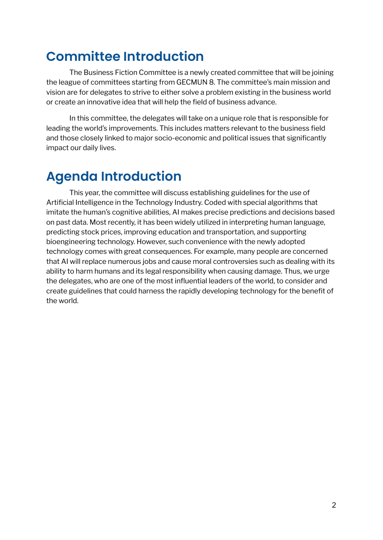### **Committee Introduction**

The Business Fiction Committee is a newly created committee that will be joining the league of committees starting from GECMUN 8. The committee's main mission and vision are for delegates to strive to either solve a problem existing in the business world or create an innovative idea that will help the field of business advance.

In this committee, the delegates will take on a unique role that is responsible for leading the world's improvements. This includes matters relevant to the business field and those closely linked to major socio-economic and political issues that significantly impact our daily lives.

### **Agenda Introduction**

This year, the committee will discuss establishing guidelines for the use of Artificial Intelligence in the Technology Industry. Coded with special algorithms that imitate the human's cognitive abilities, AI makes precise predictions and decisions based on past data. Most recently, it has been widely utilized in interpreting human language, predicting stock prices, improving education and transportation, and supporting bioengineering technology. However, such convenience with the newly adopted technology comes with great consequences. For example, many people are concerned that AI will replace numerous jobs and cause moral controversies such as dealing with its ability to harm humans and its legal responsibility when causing damage. Thus, we urge the delegates, who are one of the most influential leaders of the world, to consider and create guidelines that could harness the rapidly developing technology for the benefit of the world.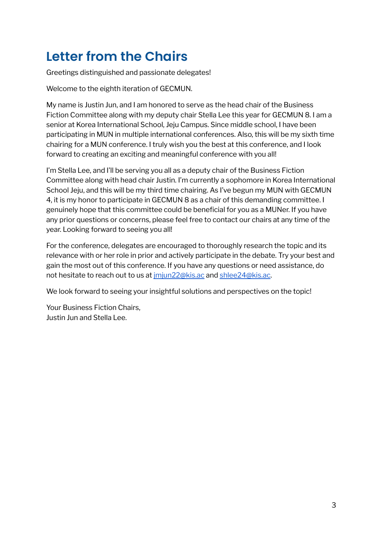### **Letter from the Chairs**

Greetings distinguished and passionate delegates!

Welcome to the eighth iteration of GECMUN.

My name is Justin Jun, and I am honored to serve as the head chair of the Business Fiction Committee along with my deputy chair Stella Lee this year for GECMUN 8. I am a senior at Korea International School, Jeju Campus. Since middle school, I have been participating in MUN in multiple international conferences. Also, this will be my sixth time chairing for a MUN conference. I truly wish you the best at this conference, and I look forward to creating an exciting and meaningful conference with you all!

I'm Stella Lee, and I'll be serving you all as a deputy chair of the Business Fiction Committee along with head chair Justin. I'm currently a sophomore in Korea International School Jeju, and this will be my third time chairing. As I've begun my MUN with GECMUN 4, it is my honor to participate in GECMUN 8 as a chair of this demanding committee. I genuinely hope that this committee could be beneficial for you as a MUNer. If you have any prior questions or concerns, please feel free to contact our chairs at any time of the year. Looking forward to seeing you all!

For the conference, delegates are encouraged to thoroughly research the topic and its relevance with or her role in prior and actively participate in the debate. Try your best and gain the most out of this conference. If you have any questions or need assistance, do not hesitate to reach out to us at [jmjun22@kis.ac](mailto:jmjun22@kis.ac) and [shlee24@kis.ac](mailto:shlee24@kis.ac).

We look forward to seeing your insightful solutions and perspectives on the topic!

Your Business Fiction Chairs, Justin Jun and Stella Lee.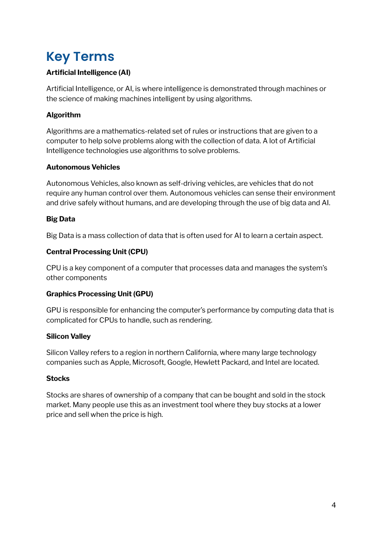### **Key Terms**

#### **Artificial Intelligence (AI)**

Artificial Intelligence, or AI, is where intelligence is demonstrated through machines or the science of making machines intelligent by using algorithms.

#### **Algorithm**

Algorithms are a mathematics-related set of rules or instructions that are given to a computer to help solve problems along with the collection of data. A lot of Artificial Intelligence technologies use algorithms to solve problems.

#### **Autonomous Vehicles**

Autonomous Vehicles, also known as self-driving vehicles, are vehicles that do not require any human control over them. Autonomous vehicles can sense their environment and drive safely without humans, and are developing through the use of big data and AI.

#### **Big Data**

Big Data is a mass collection of data that is often used for AI to learn a certain aspect.

#### **Central Processing Unit (CPU)**

CPU is a key component of a computer that processes data and manages the system's other components

#### **Graphics Processing Unit (GPU)**

GPU is responsible for enhancing the computer's performance by computing data that is complicated for CPUs to handle, such as rendering.

#### **Silicon Valley**

Silicon Valley refers to a region in northern California, where many large technology companies such as Apple, Microsoft, Google, Hewlett Packard, and Intel are located.

#### **Stocks**

Stocks are shares of ownership of a company that can be bought and sold in the stock market. Many people use this as an investment tool where they buy stocks at a lower price and sell when the price is high.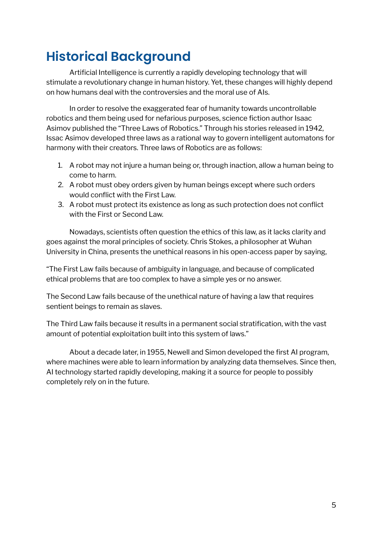### **Historical Background**

Artificial Intelligence is currently a rapidly developing technology that will stimulate a revolutionary change in human history. Yet, these changes will highly depend on how humans deal with the controversies and the moral use of AIs.

In order to resolve the exaggerated fear of humanity towards uncontrollable robotics and them being used for nefarious purposes, science fiction author Isaac Asimov published the "Three Laws of Robotics." Through his stories released in 1942, Issac Asimov developed three laws as a rational way to govern intelligent automatons for harmony with their creators. Three laws of Robotics are as follows:

- 1. A robot may not injure a human being or, through inaction, allow a human being to come to harm.
- 2. A robot must obey orders given by human beings except where such orders would conflict with the First Law.
- 3. A robot must protect its existence as long as such protection does not conflict with the First or Second Law.

Nowadays, scientists often question the ethics of this law, as it lacks clarity and goes against the moral principles of society. Chris Stokes, a philosopher at Wuhan University in China, presents the unethical reasons in his open-access paper by saying,

"The First Law fails because of ambiguity in language, and because of complicated ethical problems that are too complex to have a simple yes or no answer.

The Second Law fails because of the unethical nature of having a law that requires sentient beings to remain as slaves.

The Third Law fails because it results in a permanent social stratification, with the vast amount of potential exploitation built into this system of laws."

About a decade later, in 1955, Newell and Simon developed the first AI program, where machines were able to learn information by analyzing data themselves. Since then, AI technology started rapidly developing, making it a source for people to possibly completely rely on in the future.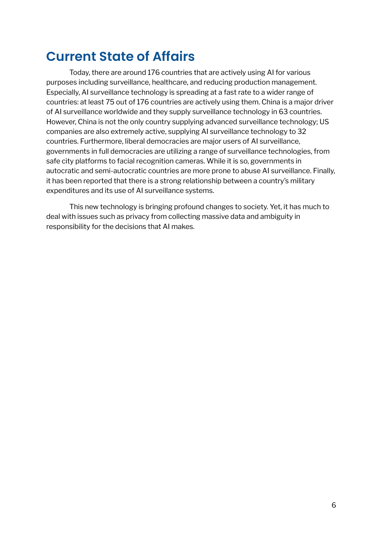### **Current State of Affairs**

Today, there are around 176 countries that are actively using AI for various purposes including surveillance, healthcare, and reducing production management. Especially, AI surveillance technology is spreading at a fast rate to a wider range of countries: at least 75 out of 176 countries are actively using them. China is a major driver of AI surveillance worldwide and they supply surveillance technology in 63 countries. However, China is not the only country supplying advanced surveillance technology; US companies are also extremely active, supplying AI surveillance technology to 32 countries. Furthermore, liberal democracies are major users of AI surveillance, governments in full democracies are utilizing a range of surveillance technologies, from safe city platforms to facial recognition cameras. While it is so, governments in autocratic and semi-autocratic countries are more prone to abuse AI surveillance. Finally, it has been reported that there is a strong relationship between a country's military expenditures and its use of AI surveillance systems.

This new technology is bringing profound changes to society. Yet, it has much to deal with issues such as privacy from collecting massive data and ambiguity in responsibility for the decisions that AI makes.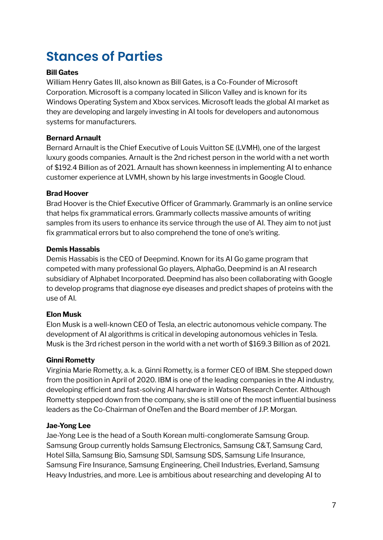### **Stances of Parties**

#### **Bill Gates**

William Henry Gates III, also known as Bill Gates, is a Co-Founder of Microsoft Corporation. Microsoft is a company located in Silicon Valley and is known for its Windows Operating System and Xbox services. Microsoft leads the global AI market as they are developing and largely investing in AI tools for developers and autonomous systems for manufacturers.

#### **Bernard Arnault**

Bernard Arnault is the Chief Executive of Louis Vuitton SE (LVMH), one of the largest luxury goods companies. Arnault is the 2nd richest person in the world with a net worth of \$192.4 Billion as of 2021. Arnault has shown keenness in implementing AI to enhance customer experience at LVMH, shown by his large investments in Google Cloud.

#### **Brad Hoover**

Brad Hoover is the Chief Executive Officer of Grammarly. Grammarly is an online service that helps fix grammatical errors. Grammarly collects massive amounts of writing samples from its users to enhance its service through the use of AI. They aim to not just fix grammatical errors but to also comprehend the tone of one's writing.

#### **Demis Hassabis**

Demis Hassabis is the CEO of Deepmind. Known for its AI Go game program that competed with many professional Go players, AlphaGo, Deepmind is an AI research subsidiary of Alphabet Incorporated. Deepmind has also been collaborating with Google to develop programs that diagnose eye diseases and predict shapes of proteins with the use of AI.

#### **Elon Musk**

Elon Musk is a well-known CEO of Tesla, an electric autonomous vehicle company. The development of AI algorithms is critical in developing autonomous vehicles in Tesla. Musk is the 3rd richest person in the world with a net worth of \$169.3 Billion as of 2021.

#### **Ginni Rometty**

Virginia Marie Rometty, a. k. a. Ginni Rometty, is a former CEO of IBM. She stepped down from the position in April of 2020. IBM is one of the leading companies in the AI industry, developing efficient and fast-solving AI hardware in Watson Research Center. Although Rometty stepped down from the company, she is still one of the most influential business leaders as the Co-Chairman of OneTen and the Board member of J.P. Morgan.

#### **Jae-Yong Lee**

Jae-Yong Lee is the head of a South Korean multi-conglomerate Samsung Group. Samsung Group currently holds Samsung Electronics, Samsung C&T, Samsung Card, Hotel Silla, Samsung Bio, Samsung SDI, Samsung SDS, Samsung Life Insurance, Samsung Fire Insurance, Samsung Engineering, Cheil Industries, Everland, Samsung Heavy Industries, and more. Lee is ambitious about researching and developing AI to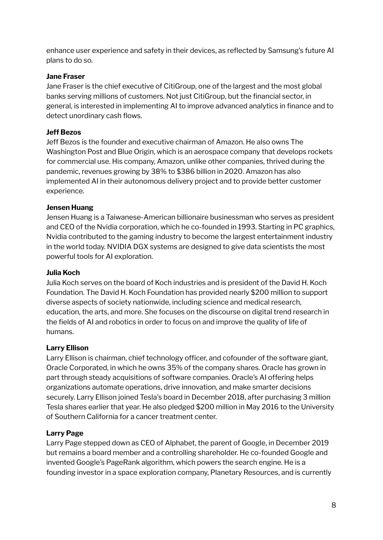enhance user experience and safety in their devices, as reflected by Samsung's future AI plans to do so.

#### **Jane Fraser**

Jane Fraser is the chief executive of CitiGroup, one of the largest and the most global banks serving millions of customers. Not just CitiGroup, but the financial sector, in general, is interested in implementing AI to improve advanced analytics in finance and to detect unordinary cash flows.

#### **Jeff Bezos**

Jeff Bezos is the founder and executive chairman of Amazon. He also owns The Washington Post and Blue Origin, which is an aerospace company that develops rockets for commercial use. His company, Amazon, unlike other companies, thrived during the pandemic, revenues growing by 38% to \$386 billion in 2020. Amazon has also implemented AI in their autonomous delivery project and to provide better customer experience.

#### **Jensen Huang**

Jensen Huang is a Taiwanese-American billionaire businessman who serves as president and CEO of the Nvidia corporation, which he co-founded in 1993. Starting in PC graphics, Nvidia contributed to the gaming industry to become the largest entertainment industry in the world today. NVIDIA DGX systems are designed to give data scientists the most powerful tools for AI exploration.

#### **Julia Koch**

Julia Koch serves on the board of Koch industries and is president of the David H. Koch Foundation. The David H. Koch Foundation has provided nearly \$200 million to support diverse aspects of society nationwide, including science and medical research, education, the arts, and more. She focuses on the discourse on digital trend research in the fields of AI and robotics in order to focus on and improve the quality of life of humans.

#### **Larry Ellison**

Larry Ellison is chairman, chief technology officer, and cofounder of the software giant, Oracle Corporated, in which he owns 35% of the company shares. Oracle has grown in part through steady acquisitions of software companies. Oracle's AI offering helps organizations automate operations, drive innovation, and make smarter decisions securely. Larry Ellison joined Tesla's board in December 2018, after purchasing 3 million Tesla shares earlier that year. He also pledged \$200 million in May 2016 to the University of Southern California for a cancer treatment center.

#### **Larry Page**

Larry Page stepped down as CEO of Alphabet, the parent of Google, in December 2019 but remains a board member and a controlling shareholder. He co-founded Google and invented Google's PageRank algorithm, which powers the search engine. He is a founding investor in a space exploration company, Planetary Resources, and is currently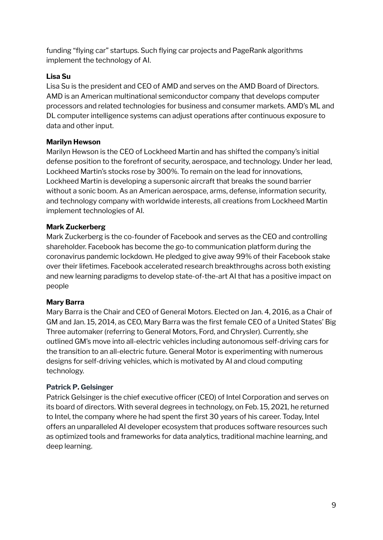funding "flying car" startups. Such flying car projects and PageRank algorithms implement the technology of AI.

#### **Lisa Su**

Lisa Su is the president and CEO of AMD and serves on the AMD Board of Directors. AMD is an American multinational semiconductor company that develops computer processors and related technologies for business and consumer markets. AMD's ML and DL computer intelligence systems can adjust operations after continuous exposure to data and other input.

#### **Marilyn Hewson**

Marilyn Hewson is the CEO of Lockheed Martin and has shifted the company's initial defense position to the forefront of security, aerospace, and technology. Under her lead, Lockheed Martin's stocks rose by 300%. To remain on the lead for innovations, Lockheed Martin is developing a supersonic aircraft that breaks the sound barrier without a sonic boom. As an American aerospace, arms, defense, information security, and technology company with worldwide interests, all creations from Lockheed Martin implement technologies of AI.

#### **Mark Zuckerberg**

Mark Zuckerberg is the co-founder of Facebook and serves as the CEO and controlling shareholder. Facebook has become the go-to communication platform during the coronavirus pandemic lockdown. He pledged to give away 99% of their Facebook stake over their lifetimes. Facebook accelerated research breakthroughs across both existing and new learning paradigms to develop state-of-the-art AI that has a positive impact on people

#### **Mary Barra**

Mary Barra is the Chair and CEO of General Motors. Elected on Jan. 4, 2016, as a Chair of GM and Jan. 15, 2014, as CEO, Mary Barra was the first female CEO of a United States' Big Three automaker (referring to General Motors, Ford, and Chrysler). Currently, she outlined GM's move into all-electric vehicles including autonomous self-driving cars for the transition to an all-electric future. General Motor is experimenting with numerous designs for self-driving vehicles, which is motivated by AI and cloud computing technology.

#### **Patrick P. Gelsinger**

Patrick Gelsinger is the chief executive officer (CEO) of Intel Corporation and serves on its board of directors. With several degrees in technology, on Feb. 15, 2021, he returned to Intel, the company where he had spent the first 30 years of his career. Today, Intel offers an unparalleled AI developer ecosystem that produces software resources such as optimized tools and frameworks for data analytics, traditional machine learning, and deep learning.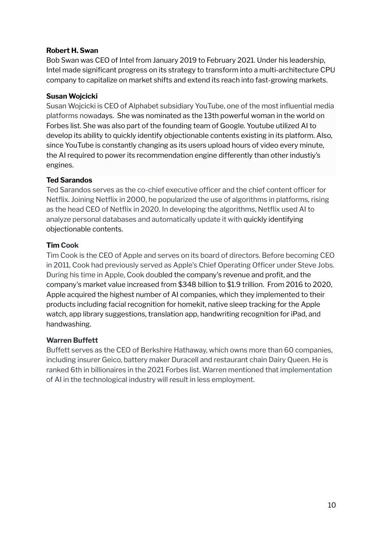#### **Robert H. Swan**

Bob Swan was CEO of Intel from January 2019 to February 2021. Under his leadership, Intel made significant progress on its strategy to transform into a multi-architecture CPU company to capitalize on market shifts and extend its reach into fast-growing markets.

#### **Susan Wojcicki**

Susan Wojcicki is CEO of Alphabet subsidiary YouTube, one of the most influential media platforms nowadays. She was nominated as the 13th powerful woman in the world on Forbes list. She was also part of the founding team of Google. Youtube utilized AI to develop its ability to quickly identify objectionable contents existing in its platform. Also, since YouTube is constantly changing as its users upload hours of video every minute, the AI required to power its recommendation engine differently than other industiy's engines.

#### **Ted Sarandos**

Ted Sarandos serves as the co-chief executive officer and the chief content officer for Netflix. Joining Netflix in 2000, he popularized the use of algorithms in platforms, rising as the head CEO of Netflix in 2020. In developing the algorithms, Netflix used AI to analyze personal databases and automatically update it with quickly identifying objectionable contents.

#### **Tim Cook**

Tim Cook is the CEO of Apple and serves on its board of directors. Before becoming CEO in 2011, Cook had previously served as Apple's Chief Operating Officer under Steve Jobs. During his time in Apple, Cook doubled the company's revenue and profit, and the company's market value increased from \$348 billion to \$1.9 trillion. From 2016 to 2020, Apple acquired the highest number of AI companies, which they implemented to their products including facial recognition for homekit, native sleep tracking for the Apple watch, app library suggestions, translation app, handwriting recognition for iPad, and handwashing.

#### **Warren Buffett**

Buffett serves as the CEO of Berkshire Hathaway, which owns more than 60 companies, including insurer Geico, battery maker Duracell and restaurant chain Dairy Queen. He is ranked 6th in billionaires in the 2021 Forbes list. Warren mentioned that implementation of AI in the technological industry will result in less employment.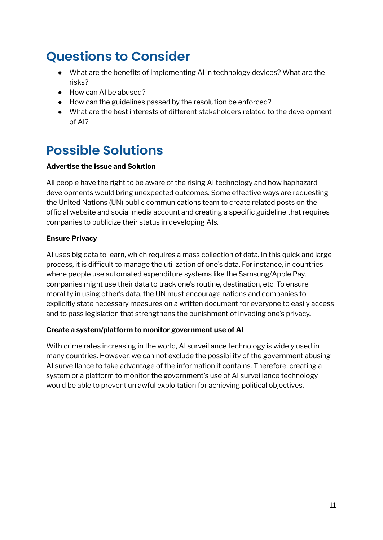### **Questions to Consider**

- What are the benefits of implementing AI in technology devices? What are the risks?
- How can AI be abused?
- How can the guidelines passed by the resolution be enforced?
- What are the best interests of different stakeholders related to the development of AI?

### **Possible Solutions**

#### **Advertise the Issue and Solution**

All people have the right to be aware of the rising AI technology and how haphazard developments would bring unexpected outcomes. Some effective ways are requesting the United Nations (UN) public communications team to create related posts on the official website and social media account and creating a specific guideline that requires companies to publicize their status in developing AIs.

#### **Ensure Privacy**

AI uses big data to learn, which requires a mass collection of data. In this quick and large process, it is difficult to manage the utilization of one's data. For instance, in countries where people use automated expenditure systems like the Samsung/Apple Pay, companies might use their data to track one's routine, destination, etc. To ensure morality in using other's data, the UN must encourage nations and companies to explicitly state necessary measures on a written document for everyone to easily access and to pass legislation that strengthens the punishment of invading one's privacy.

#### **Create a system/platform to monitor government use of AI**

With crime rates increasing in the world, AI surveillance technology is widely used in many countries. However, we can not exclude the possibility of the government abusing AI surveillance to take advantage of the information it contains. Therefore, creating a system or a platform to monitor the government's use of AI surveillance technology would be able to prevent unlawful exploitation for achieving political objectives.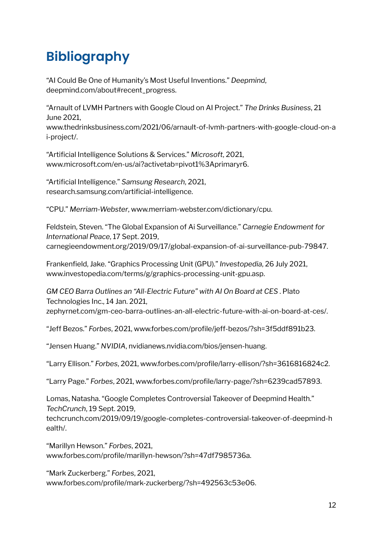### **Bibliography**

"AI Could Be One of Humanity's Most Useful Inventions." *Deepmind*, deepmind.com/about#recent\_progress.

"Arnault of LVMH Partners with Google Cloud on AI Project." *The Drinks Business*, 21 June 2021,

www.thedrinksbusiness.com/2021/06/arnault-of-lvmh-partners-with-google-cloud-on-a i-project/.

"Artificial Intelligence Solutions & Services." *Microsoft*, 2021, www.microsoft.com/en-us/ai?activetab=pivot1%3Aprimaryr6.

"Artificial Intelligence." *Samsung Research*, 2021, research.samsung.com/artificial-intelligence.

"CPU." *Merriam-Webster*, www.merriam-webster.com/dictionary/cpu.

Feldstein, Steven. "The Global Expansion of Ai Surveillance." *Carnegie Endowment for International Peace*, 17 Sept. 2019, carnegieendowment.org/2019/09/17/global-expansion-of-ai-surveillance-pub-79847.

Frankenfield, Jake. "Graphics Processing Unit (GPU)." *Investopedia*, 26 July 2021, www.investopedia.com/terms/g/graphics-processing-unit-gpu.asp.

*GM CEO Barra Outlines an "All-Electric Future" with AI On Board at CES* . Plato Technologies Inc., 14 Jan. 2021, zephyrnet.com/gm-ceo-barra-outlines-an-all-electric-future-with-ai-on-board-at-ces/.

"Jeff Bezos." *Forbes*, 2021, www.forbes.com/profile/jeff-bezos/?sh=3f5ddf891b23.

"Jensen Huang." *NVIDIA*, nvidianews.nvidia.com/bios/jensen-huang.

"Larry Ellison." *Forbes*, 2021, www.forbes.com/profile/larry-ellison/?sh=3616816824c2.

"Larry Page." *Forbes*, 2021, www.forbes.com/profile/larry-page/?sh=6239cad57893.

Lomas, Natasha. "Google Completes Controversial Takeover of Deepmind Health." *TechCrunch*, 19 Sept. 2019, techcrunch.com/2019/09/19/google-completes-controversial-takeover-of-deepmind-h ealth/.

"Marillyn Hewson." *Forbes*, 2021, www.forbes.com/profile/marillyn-hewson/?sh=47df7985736a.

"Mark Zuckerberg." *Forbes*, 2021, www.forbes.com/profile/mark-zuckerberg/?sh=492563c53e06.